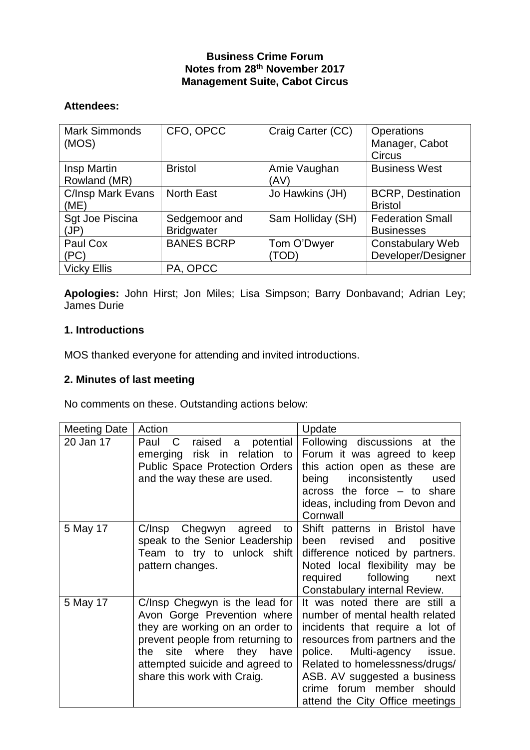### **Business Crime Forum Notes from 28th November 2017 Management Suite, Cabot Circus**

# **Attendees:**

| <b>Mark Simmonds</b><br>(MOS) | CFO, OPCC                          | Craig Carter (CC)    | Operations<br>Manager, Cabot<br><b>Circus</b> |
|-------------------------------|------------------------------------|----------------------|-----------------------------------------------|
| Insp Martin<br>Rowland (MR)   | <b>Bristol</b>                     | Amie Vaughan<br>(AV) | <b>Business West</b>                          |
| C/Insp Mark Evans<br>(ME)     | <b>North East</b>                  | Jo Hawkins (JH)      | <b>BCRP, Destination</b><br><b>Bristol</b>    |
| Sgt Joe Piscina<br>(JP)       | Sedgemoor and<br><b>Bridgwater</b> | Sam Holliday (SH)    | <b>Federation Small</b><br><b>Businesses</b>  |
| Paul Cox<br>(PC)              | <b>BANES BCRP</b>                  | Tom O'Dwyer<br>(TOD  | <b>Constabulary Web</b><br>Developer/Designer |
| <b>Vicky Ellis</b>            | PA, OPCC                           |                      |                                               |

**Apologies:** John Hirst; Jon Miles; Lisa Simpson; Barry Donbavand; Adrian Ley; James Durie

#### **1. Introductions**

MOS thanked everyone for attending and invited introductions.

# **2. Minutes of last meeting**

No comments on these. Outstanding actions below:

| <b>Meeting Date</b> | Action                                                                                                                                                                                                                                | Update                                                                                                                                                                                                                                                                                                            |
|---------------------|---------------------------------------------------------------------------------------------------------------------------------------------------------------------------------------------------------------------------------------|-------------------------------------------------------------------------------------------------------------------------------------------------------------------------------------------------------------------------------------------------------------------------------------------------------------------|
| 20 Jan 17           | raised<br>a potential<br>Paul<br>C<br>emerging risk in relation to<br><b>Public Space Protection Orders</b><br>and the way these are used.                                                                                            | Following discussions at the<br>Forum it was agreed to keep<br>this action open as these are<br>inconsistently<br>being<br>used<br>across the force $-$ to share<br>ideas, including from Devon and<br>Cornwall                                                                                                   |
| 5 May 17            | C/Insp Chegwyn agreed<br>to<br>speak to the Senior Leadership<br>Team to try to unlock shift<br>pattern changes.                                                                                                                      | Shift patterns in Bristol have<br>revised<br>and<br>been<br>positive<br>difference noticed by partners.<br>Noted local flexibility may be<br>following<br>required<br>next<br>Constabulary internal Review.                                                                                                       |
| 5 May 17            | C/Insp Chegwyn is the lead for<br>Avon Gorge Prevention where<br>they are working on an order to<br>prevent people from returning to<br>site where they have<br>the<br>attempted suicide and agreed to<br>share this work with Craig. | It was noted there are still a<br>number of mental health related<br>incidents that require a lot of<br>resources from partners and the<br>Multi-agency<br>police.<br>issue.<br>Related to homelessness/drugs/<br>ASB. AV suggested a business<br>forum member should<br>crime<br>attend the City Office meetings |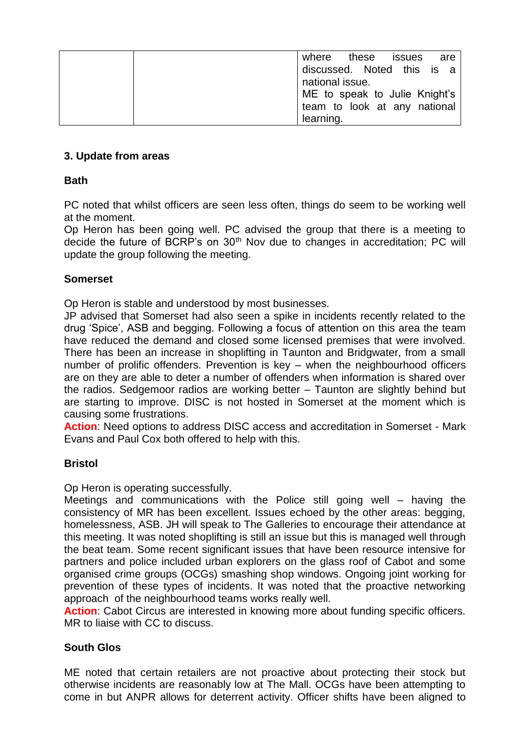| are<br>where these issues     |
|-------------------------------|
| discussed. Noted this is a    |
| national issue.               |
| ME to speak to Julie Knight's |
| team to look at any national  |
| learning.                     |

## **3. Update from areas**

## **Bath**

PC noted that whilst officers are seen less often, things do seem to be working well at the moment.

Op Heron has been going well. PC advised the group that there is a meeting to decide the future of BCRP's on 30<sup>th</sup> Nov due to changes in accreditation; PC will update the group following the meeting.

#### **Somerset**

Op Heron is stable and understood by most businesses.

JP advised that Somerset had also seen a spike in incidents recently related to the drug 'Spice', ASB and begging. Following a focus of attention on this area the team have reduced the demand and closed some licensed premises that were involved. There has been an increase in shoplifting in Taunton and Bridgwater, from a small number of prolific offenders. Prevention is key – when the neighbourhood officers are on they are able to deter a number of offenders when information is shared over the radios. Sedgemoor radios are working better – Taunton are slightly behind but are starting to improve. DISC is not hosted in Somerset at the moment which is causing some frustrations.

**Action**: Need options to address DISC access and accreditation in Somerset - Mark Evans and Paul Cox both offered to help with this.

#### **Bristol**

Op Heron is operating successfully.

Meetings and communications with the Police still going well – having the consistency of MR has been excellent. Issues echoed by the other areas: begging, homelessness, ASB. JH will speak to The Galleries to encourage their attendance at this meeting. It was noted shoplifting is still an issue but this is managed well through the beat team. Some recent significant issues that have been resource intensive for partners and police included urban explorers on the glass roof of Cabot and some organised crime groups (OCGs) smashing shop windows. Ongoing joint working for prevention of these types of incidents. It was noted that the proactive networking approach of the neighbourhood teams works really well.

**Action:** Cabot Circus are interested in knowing more about funding specific officers. MR to liaise with CC to discuss.

# **South Glos**

ME noted that certain retailers are not proactive about protecting their stock but otherwise incidents are reasonably low at The Mall. OCGs have been attempting to come in but ANPR allows for deterrent activity. Officer shifts have been aligned to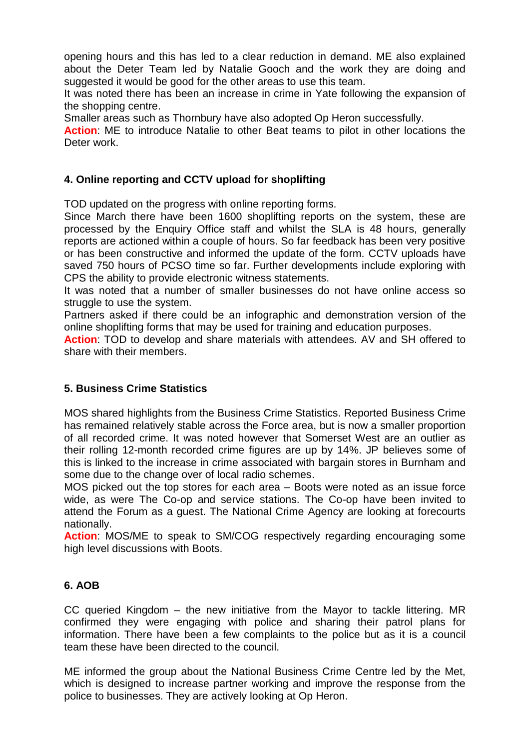opening hours and this has led to a clear reduction in demand. ME also explained about the Deter Team led by Natalie Gooch and the work they are doing and suggested it would be good for the other areas to use this team.

It was noted there has been an increase in crime in Yate following the expansion of the shopping centre.

Smaller areas such as Thornbury have also adopted Op Heron successfully.

**Action**: ME to introduce Natalie to other Beat teams to pilot in other locations the Deter work.

## **4. Online reporting and CCTV upload for shoplifting**

TOD updated on the progress with online reporting forms.

Since March there have been 1600 shoplifting reports on the system, these are processed by the Enquiry Office staff and whilst the SLA is 48 hours, generally reports are actioned within a couple of hours. So far feedback has been very positive or has been constructive and informed the update of the form. CCTV uploads have saved 750 hours of PCSO time so far. Further developments include exploring with CPS the ability to provide electronic witness statements.

It was noted that a number of smaller businesses do not have online access so struggle to use the system.

Partners asked if there could be an infographic and demonstration version of the online shoplifting forms that may be used for training and education purposes.

**Action**: TOD to develop and share materials with attendees. AV and SH offered to share with their members.

# **5. Business Crime Statistics**

MOS shared highlights from the Business Crime Statistics. Reported Business Crime has remained relatively stable across the Force area, but is now a smaller proportion of all recorded crime. It was noted however that Somerset West are an outlier as their rolling 12-month recorded crime figures are up by 14%. JP believes some of this is linked to the increase in crime associated with bargain stores in Burnham and some due to the change over of local radio schemes.

MOS picked out the top stores for each area – Boots were noted as an issue force wide, as were The Co-op and service stations. The Co-op have been invited to attend the Forum as a guest. The National Crime Agency are looking at forecourts nationally.

**Action**: MOS/ME to speak to SM/COG respectively regarding encouraging some high level discussions with Boots.

#### **6. AOB**

CC queried Kingdom – the new initiative from the Mayor to tackle littering. MR confirmed they were engaging with police and sharing their patrol plans for information. There have been a few complaints to the police but as it is a council team these have been directed to the council.

ME informed the group about the National Business Crime Centre led by the Met, which is designed to increase partner working and improve the response from the police to businesses. They are actively looking at Op Heron.